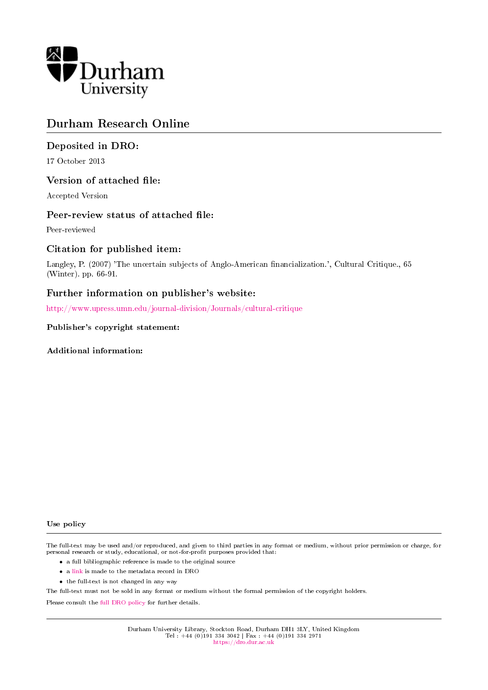

## Durham Research Online

### Deposited in DRO:

17 October 2013

#### Version of attached file:

Accepted Version

#### Peer-review status of attached file:

Peer-reviewed

#### Citation for published item:

Langley, P. (2007) 'The uncertain subjects of Anglo-American financialization.', Cultural Critique., 65 (Winter). pp. 66-91.

### Further information on publisher's website:

<http://www.upress.umn.edu/journal-division/Journals/cultural-critique>

#### Publisher's copyright statement:

Additional information:

#### Use policy

The full-text may be used and/or reproduced, and given to third parties in any format or medium, without prior permission or charge, for personal research or study, educational, or not-for-profit purposes provided that:

- a full bibliographic reference is made to the original source
- a [link](http://dro.dur.ac.uk/11439/) is made to the metadata record in DRO
- the full-text is not changed in any way

The full-text must not be sold in any format or medium without the formal permission of the copyright holders.

Please consult the [full DRO policy](https://dro.dur.ac.uk/policies/usepolicy.pdf) for further details.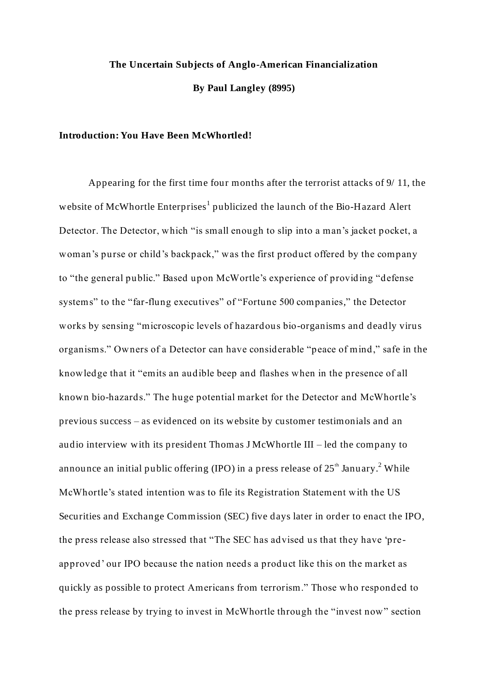# **The Uncertain Subjects of Anglo-American Financialization By Paul Langley (8995)**

#### **Introduction: You Have Been McWhortled!**

Appearing for the first time four months after the terrorist attacks of 9/ 11, the website of McWhortle Enterprises<sup>1</sup> publicized the launch of the Bio-Hazard Alert Detector. The Detector, which "is small enough to slip into a man's jacket pocket, a woman's purse or child's backpack," was the first product offered by the company to "the general public." Based upon McWortle's experience of providing "defense systems" to the "far-flung executives" of "Fortune 500 companies," the Detector works by sensing "microscopic levels of hazardous bio-organisms and deadly virus organisms." Owners of a Detector can have considerable "peace of mind," safe in the knowledge that it "emits an audible beep and flashes when in the presence of all known bio-hazards." The huge potential market for the Detector and McWhortle's previous success – as evidenced on its website by customer testimonials and an audio interview with its president Thomas J McWhortle III – led the company to announce an initial public offering (IPO) in a press release of  $25<sup>th</sup>$  January.<sup>2</sup> While McWhortle's stated intention was to file its Registration Statement with the US Securities and Exchange Commission (SEC) five days later in order to enact the IPO, the press release also stressed that "The SEC has advised us that they have 'preapproved' our IPO because the nation needs a product like this on the market as quickly as possible to protect Americans from terrorism." Those who responded to the press release by trying to invest in McWhortle through the "invest now" section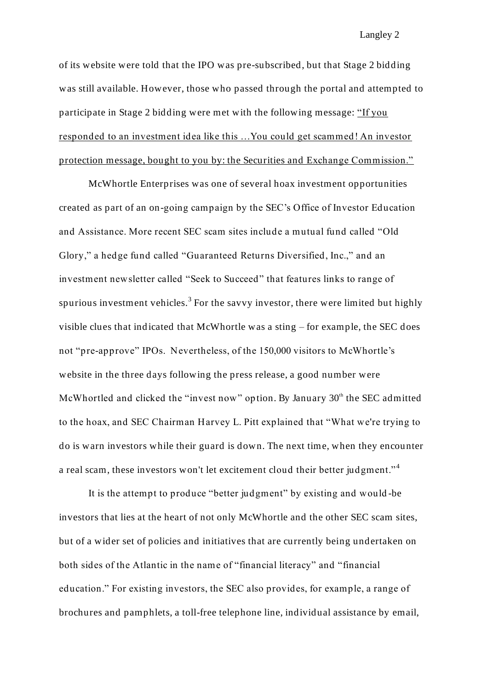of its website were told that the IPO was pre-subscribed, but that Stage 2 bidding was still available. However, those who passed through the portal and attempted to participate in Stage 2 bidding were met with the following message: "If you responded to an investment idea like this …You could get scammed! An investor protection message, bought to you by: the Securities and Exchange Commission."

McWhortle Enterprises was one of several hoax investment opportunities created as part of an on-going campaign by the SEC's Office of Investor Education and Assistance. More recent SEC scam sites include a mutual fund called "Old Glory," a hedge fund called "Guaranteed Returns Diversified, Inc.," and an investment newsletter called "Seek to Succeed" that features links to range of spurious investment vehicles.<sup>3</sup> For the savvy investor, there were limited but highly visible clues that ind icated that McWhortle was a sting – for example, the SEC does not "pre-approve" IPOs. Nevertheless, of the 150,000 visitors to McWhortle's website in the three days following the press release, a good number were McWhortled and clicked the "invest now" option. By January  $30<sup>th</sup>$  the SEC admitted to the hoax, and SEC Chairman Harvey L. Pitt explained that "What we're trying to do is warn investors while their guard is down. The next time, when they encounter a real scam, these investors won't let excitement cloud their better judgment."<sup>4</sup>

It is the attempt to produce "better judgment" by existing and would -be investors that lies at the heart of not only McWhortle and the other SEC scam sites, but of a wider set of policies and initiatives that are currently being undertaken on both sides of the Atlantic in the name of "financial literacy" and "financial education." For existing investors, the SEC also provides, for example, a range of brochures and pamphlets, a toll-free telephone line, individual assistance by email,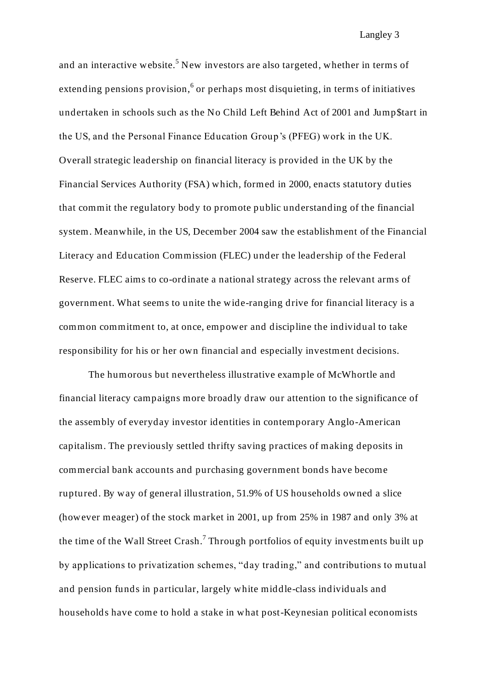and an interactive website.<sup>5</sup> New investors are also targeted, whether in terms of extending pensions provision,  $6$  or perhaps most disquieting, in terms of initiatives undertaken in schools such as the No Child Left Behind Act of 2001 and Jump\$tart in the US, and the Personal Finance Education Group's (PFEG) work in the UK. Overall strategic leadership on financial literacy is provided in the UK by the Financial Services Authority (FSA) which, formed in 2000, enacts statutory duties that commit the regulatory body to promote public understanding of the financial system. Meanwhile, in the US, December 2004 saw the establishment of the Financial Literacy and Education Commission (FLEC) under the leadership of the Federal Reserve. FLEC aims to co-ordinate a national strategy across the relevant arms of government. What seems to unite the wide-ranging drive for financial literacy is a common commitment to, at once, empower and discipline the individual to take responsibility for his or her own financial and especially investment decisions.

The humorous but nevertheless illustrative example of McWhortle and financial literacy campaigns more broadly draw our attention to the significance of the assembly of everyday investor identities in contemporary Anglo-American capitalism. The previously settled thrifty saving practices of making deposits in commercial bank accounts and purchasing government bonds have become ruptured. By way of general illustration, 51.9% of US households owned a slice (however meager) of the stock market in 2001, up from 25% in 1987 and only 3% at the time of the Wall Street Crash.<sup>7</sup> Through portfolios of equity investments built up by applications to privatization schemes, "day trading," and contributions to mutual and pension funds in particular, largely white middle-class individuals and households have come to hold a stake in what post-Keynesian political economists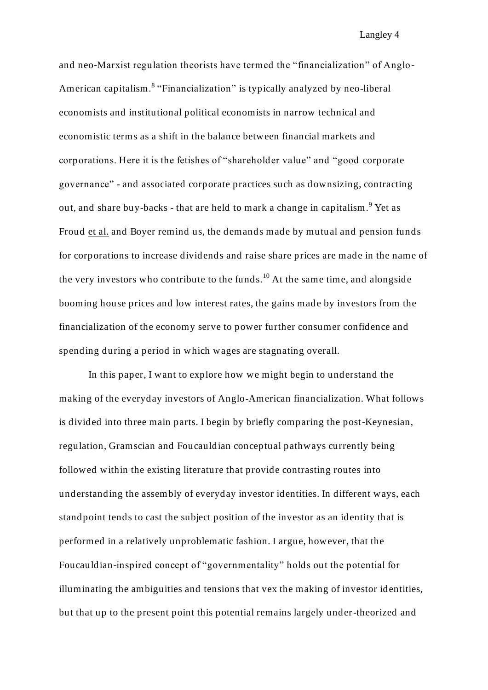and neo-Marxist regulation theorists have termed the "financialization" of Anglo-American capitalism.<sup>8</sup> "Financialization" is typically analyzed by neo-liberal economists and institutional political economists in narrow technical and economistic terms as a shift in the balance between financial markets and corporations. Here it is the fetishes of "shareholder value" and "good corporate governance" - and associated corporate practices such as downsizing, contracting out, and share buy-backs - that are held to mark a change in capitalism.<sup>9</sup> Yet as Froud et al. and Boyer remind us, the demands made by mutual and pension funds for corporations to increase dividends and raise share prices are made in the name of the very investors who contribute to the funds.<sup>10</sup> At the same time, and alongside booming house prices and low interest rates, the gains made by investors from the financialization of the economy serve to power further consumer confidence and spending during a period in which wages are stagnating overall.

In this paper, I want to explore how we might begin to understand the making of the everyday investors of Anglo-American financialization. What follows is divided into three main parts. I begin by briefly comparing the post-Keynesian, regulation, Gramscian and Foucauldian conceptual pathways currently being followed within the existing literature that provide contrasting routes into understanding the assembly of everyday investor identities. In different ways, each standpoint tends to cast the subject position of the investor as an identity that is performed in a relatively unproblematic fashion. I argue, however, that the Foucauldian-inspired concept of "governmentality" holds out the potential for illuminating the ambiguities and tensions that vex the making of investor identities, but that up to the present point this potential remains largely under-theorized and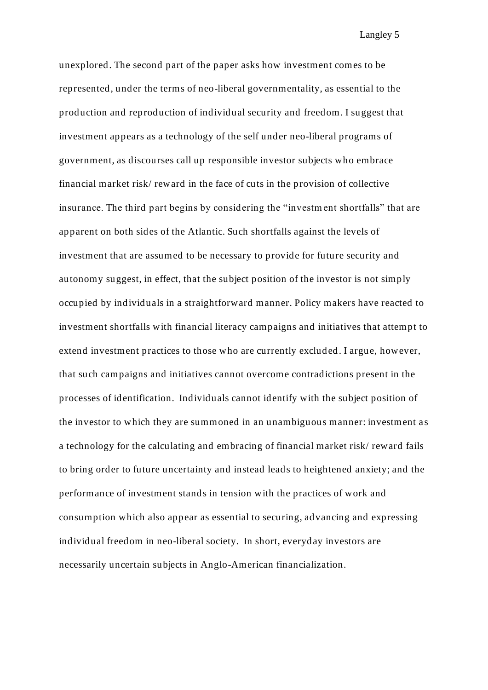unexplored. The second part of the paper asks how investment comes to be represented, under the terms of neo-liberal governmentality, as essential to the production and reproduction of individual security and freedom. I suggest that investment appears as a technology of the self under neo-liberal programs of government, as discourses call up responsible investor subjects who embrace financial market risk/ reward in the face of cuts in the provision of collective insurance. The third part begins by considering the "investm ent shortfalls" that are apparent on both sides of the Atlantic. Such shortfalls against the levels of investment that are assumed to be necessary to provide for future security and autonomy suggest, in effect, that the subject position of the investor is not simply occupied by individuals in a straightforward manner. Policy makers have reacted to investment shortfalls with financial literacy campaigns and initiatives that attempt to extend investment practices to those who are currently excluded. I argue, however, that such campaigns and initiatives cannot overcome contradictions present in the processes of identification. Individuals cannot identify with the subject position of the investor to which they are summoned in an unambiguous manner: investment a s a technology for the calculating and embracing of financial market risk/ reward fails to bring order to future uncertainty and instead leads to heightened anxiety; and the performance of investment stands in tension with the practices of work and consumption which also appear as essential to securing, advancing and expressing individual freedom in neo-liberal society. In short, everyday investors are necessarily uncertain subjects in Anglo-American financialization.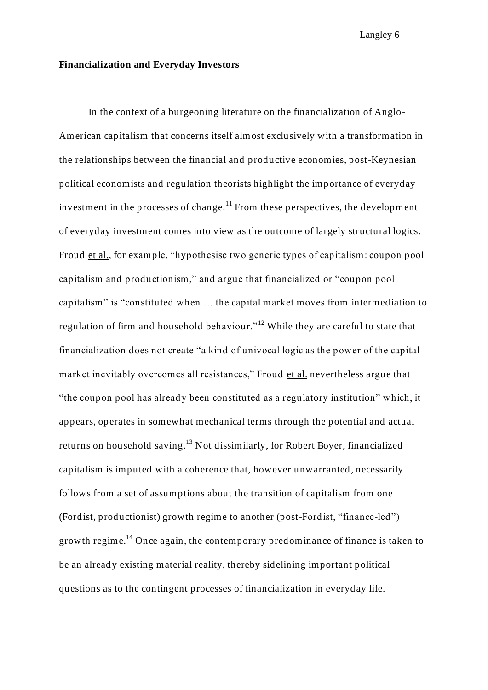#### **Financialization and Everyday Investors**

In the context of a burgeoning literature on the financialization of Anglo-American capitalism that concerns itself almost exclusively with a transformation in the relationships between the financial and productive economies, post-Keynesian political economists and regulation theorists highlight the importance of everyday investment in the processes of change.<sup>11</sup> From these perspectives, the development of everyday investment comes into view as the outcome of largely structural logics. Froud et al., for example, "hypothesise two generic types of capitalism: coupon pool capitalism and productionism," and argue that financialized or "coupon pool capitalism" is "constituted when … the capital market moves from intermediation to regulation of firm and household behaviour."<sup>12</sup> While they are careful to state that financialization does not create "a kind of univocal logic as the power of the capital market inevitably overcomes all resistances," Froud et al. nevertheless argue that "the coupon pool has already been constituted as a regulatory institution" which, it appears, operates in somewhat mechanical terms through the potential and actual returns on household saving.<sup>13</sup> Not dissimilarly, for Robert Boyer, financialized capitalism is imputed with a coherence that, however unwarranted, necessarily follows from a set of assumptions about the transition of capitalism from one (Fordist, productionist) growth regime to another (post-Fordist, "finance-led") growth regime.<sup>14</sup> Once again, the contemporary predominance of finance is taken to be an already existing material reality, thereby sidelining important political questions as to the contingent processes of financialization in everyday life.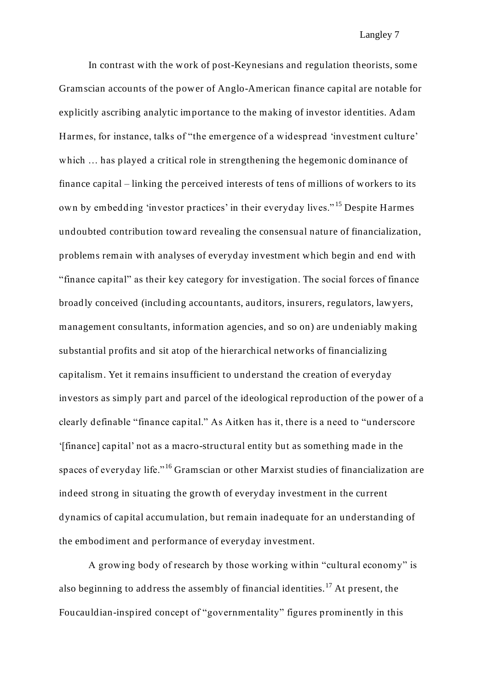In contrast with the work of post-Keynesians and regulation theorists, some Gramscian accounts of the power of Anglo-American finance capital are notable for explicitly ascribing analytic importance to the making of investor identities. Adam Harmes, for instance, talks of "the emergence of a widespread 'investment culture' which  $\ldots$  has played a critical role in strengthening the hegemonic dominance of finance capital – linking the perceived interests of tens of millions of workers to its own by embedding 'investor practices' in their everyday lives." <sup>15</sup> Despite Harmes undoubted contribution toward revealing the consensual nature of financialization, problems remain with analyses of everyday investment which begin and end with "finance capital" as their key category for investigation. The social forces of finance broadly conceived (including accountants, auditors, insurers, regulators, lawyers, management consultants, information agencies, and so on) are undeniably making substantial profits and sit atop of the hierarchical networks of financializing capitalism. Yet it remains insufficient to understand the creation of everyday investors as simply part and parcel of the ideological reproduction of the power of a clearly definable "finance capital." As Aitken has it, there is a need to "underscore '[finance] capital' not as a macro-structural entity but as something made in the spaces of everyday life."<sup>16</sup> Gramscian or other Marxist studies of financialization are indeed strong in situating the growth of everyday investment in the current dynamics of capital accumulation, but remain inadequate for an understanding of the embodiment and performance of everyday investment.

A growing body of research by those working within "cultural economy" is also beginning to address the assembly of financial identities.<sup>17</sup> At present, the Foucauldian-inspired concept of "governmentality" figures prominently in this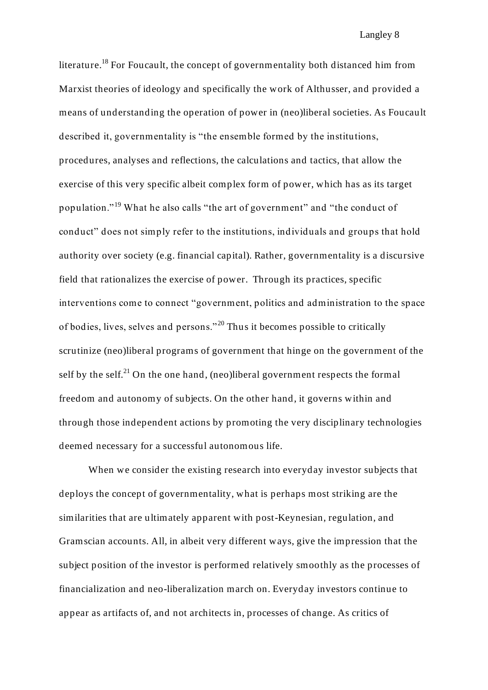literature.<sup>18</sup> For Foucault, the concept of governmentality both distanced him from Marxist theories of ideology and specifically the work of Althusser, and provided a means of understanding the operation of power in (neo)liberal societies. As Foucault described it, governmentality is "the ensemble formed by the institutions, procedures, analyses and reflections, the calculations and tactics, that allow the exercise of this very specific albeit complex form of power, which has as its target population."<sup>19</sup> What he also calls "the art of government" and "the conduct of conduct" does not simply refer to the institutions, individuals and groups that hold authority over society (e.g. financial capital). Rather, governmentality is a discursive field that rationalizes the exercise of power. Through its practices, specific interventions come to connect "government, politics and administration to the space of bodies, lives, selves and persons." <sup>20</sup> Thus it becomes possible to critically scrutinize (neo)liberal programs of government that hinge on the government of the self by the self.<sup>21</sup> On the one hand, (neo)liberal government respects the formal freedom and autonomy of subjects. On the other hand, it governs within and through those independent actions by promoting the very disciplinary technologies deemed necessary for a successful autonomous life.

When we consider the existing research into everyday investor subjects that deploys the concept of governmentality, what is perhaps most striking are the similarities that are ultimately apparent with post-Keynesian, regulation, and Gramscian accounts. All, in albeit very different ways, give the impression that the subject position of the investor is performed relatively smoothly as the processes of financialization and neo-liberalization march on. Everyday investors continue to appear as artifacts of, and not architects in, processes of change. As critics of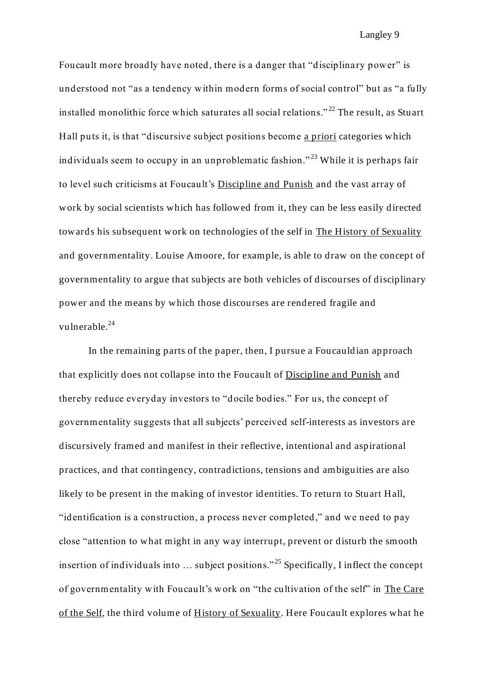Foucault more broadly have noted, there is a danger that "disciplinary power" is understood not "as a tendency within modern forms of social control" but as "a fully installed monolithic force which saturates all social relations."<sup>22</sup> The result, as Stuart Hall puts it, is that "discursive subject positions become a priori categories which individuals seem to occupy in an unproblematic fashion." <sup>23</sup> While it is perhaps fair to level such criticisms at Foucault's Discipline and Punish and the vast array of work by social scientists which has followed from it, they can be less easily directed towards his subsequent work on technologies of the self in The History of Sexuality and governmentality. Louise Amoore, for example, is able to draw on the concept of governmentality to argue that subjects are both vehicles of discourses of disciplinary power and the means by which those discourses are rendered fragile and vulnerable.<sup>24</sup>

In the remaining parts of the paper, then, I pursue a Foucauldian approach that explicitly does not collapse into the Foucault of Discipline and Punish and thereby reduce everyday investors to "docile bodies." For us, the concept of governmentality suggests that all subjects' perceived self-interests as investors are discursively framed and manifest in their reflective, intentional and aspirational practices, and that contingency, contradictions, tensions and ambiguities are also likely to be present in the making of investor identities. To return to Stuart Hall, "identification is a construction, a process never completed," and we need to pay close "attention to what might in any way interrupt, prevent or disturb the smooth insertion of individuals into … subject positions." <sup>25</sup> Specifically, I inflect the concept of governmentality with Foucault's work on "the cultivation of the self" in The Care of the Self, the third volume of History of Sexuality. Here Foucault explores what he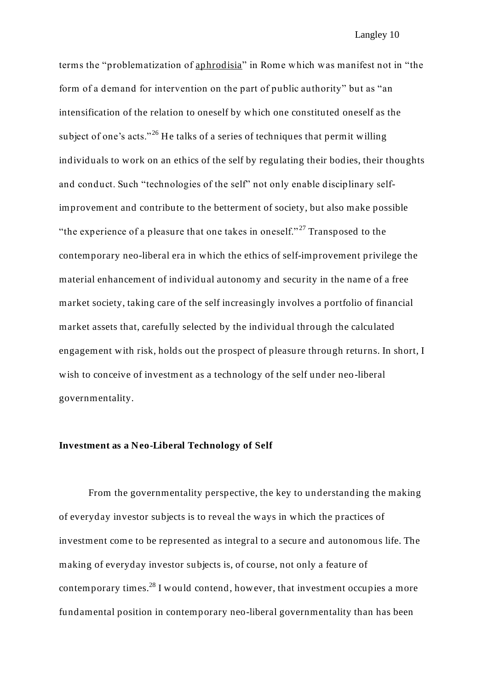terms the "problematization of aphrodisia" in Rome which was manifest not in "the form of a demand for intervention on the part of public authority" but as "an intensification of the relation to oneself by which one constituted oneself as the subject of one's acts."<sup>26</sup> He talks of a series of techniques that permit willing individuals to work on an ethics of the self by regulating their bodies, their thoughts and conduct. Such "technologies of the self" not only enable disciplinary selfimprovement and contribute to the betterment of society, but also make possible "the experience of a pleasure that one takes in oneself."<sup>27</sup> Transposed to the contemporary neo-liberal era in which the ethics of self-improvement privilege the material enhancement of individual autonomy and security in the name of a free market society, taking care of the self increasingly involves a portfolio of financial market assets that, carefully selected by the individual through the calculated engagement with risk, holds out the prospect of pleasure through returns. In short, I wish to conceive of investment as a technology of the self under neo-liberal governmentality.

#### **Investment as a Neo-Liberal Technology of Self**

From the governmentality perspective, the key to understanding the making of everyday investor subjects is to reveal the ways in which the practices of investment come to be represented as integral to a secure and autonomous life. The making of everyday investor subjects is, of course, not only a feature of contemporary times. $^{28}$  I would contend, however, that investment occupies a more fundamental position in contemporary neo-liberal governmentality than has been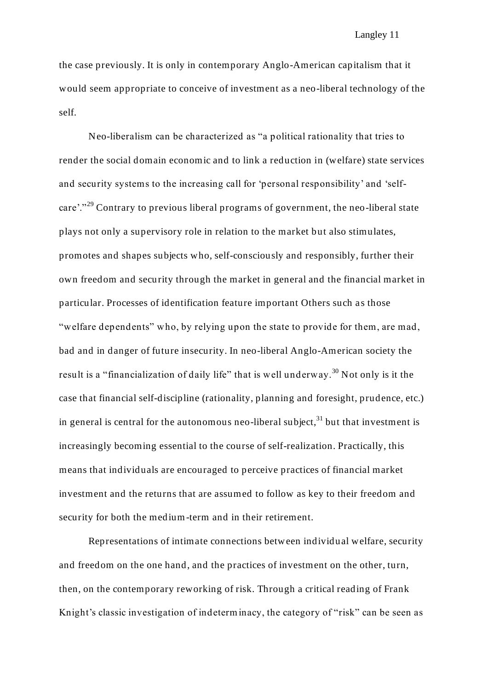the case previously. It is only in contemporary Anglo-American capitalism that it would seem appropriate to conceive of investment as a neo-liberal technology of the self.

Neo-liberalism can be characterized as "a political rationality that tries to render the social domain economic and to link a reduction in (welfare) state services and security systems to the increasing call for 'personal responsibility' and 'selfcare'."<sup>29</sup> Contrary to previous liberal programs of government, the neo-liberal state plays not only a supervisory role in relation to the market but also stimulates, promotes and shapes subjects who, self-consciously and responsibly, further their own freedom and security through the market in general and the financial market in particular. Processes of identification feature important Others such as those "welfare dependents" who, by relying upon the state to provide for them, are mad, bad and in danger of future insecurity. In neo-liberal Anglo-American society the result is a "financialization of daily life" that is well underway.<sup>30</sup> Not only is it the case that financial self-discipline (rationality, planning and foresight, prudence, etc.) in general is central for the autonomous neo-liberal subject, $31$  but that investment is increasingly becoming essential to the course of self-realization. Practically, this means that individuals are encouraged to perceive practices of financial market investment and the returns that are assumed to follow as key to their freedom and security for both the medium-term and in their retirement.

Representations of intimate connections between individual welfare, security and freedom on the one hand, and the practices of investment on the other, turn, then, on the contemporary reworking of risk. Through a critical reading of Frank Knight's classic investigation of indeterminacy, the category of "risk" can be seen as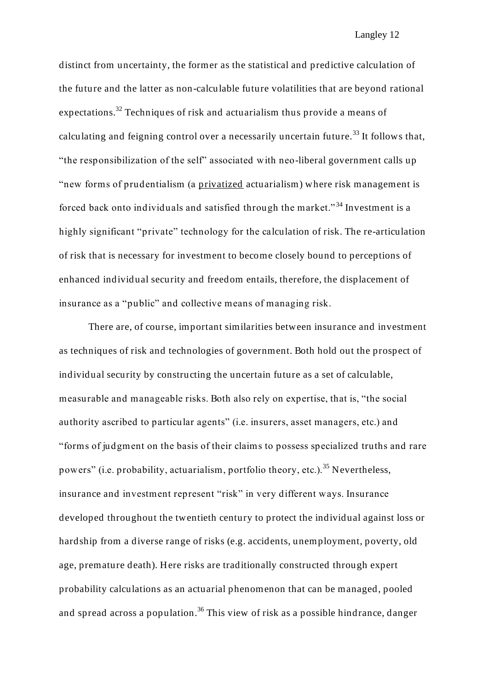distinct from uncertainty, the former as the statistical and predictive calculation of the future and the latter as non-calculable future volatilities that are beyond rational expectations.<sup>32</sup> Techniques of risk and actuarialism thus provide a means of calculating and feigning control over a necessarily uncertain future.<sup>33</sup> It follows that, "the responsibilization of the self" associated with neo-liberal government calls up "new forms of prudentialism (a privatized actuarialism) where risk management is forced back onto individuals and satisfied through the market." <sup>34</sup> Investment is a highly significant "private" technology for the calculation of risk. The re-articulation of risk that is necessary for investment to become closely bound to perceptions of enhanced individual security and freedom entails, therefore, the displacement of insurance as a "public" and collective means of managing risk.

There are, of course, important similarities between insurance and investment as techniques of risk and technologies of government. Both hold out the prospect of individual security by constructing the uncertain future as a set of calculable, measurable and manageable risks. Both also rely on expertise, that is, "the social authority ascribed to particular agents" (i.e. insurers, asset managers, etc.) and "forms of judgment on the basis of their claims to possess specialized truths and rare powers" (i.e. probability, actuarialism, portfolio theory, etc.).<sup>35</sup> Nevertheless, insurance and investment represent "risk" in very different ways. Insurance developed throughout the twentieth century to protect the individual against loss or hardship from a diverse range of risks (e.g. accidents, unemployment, poverty, old age, premature death). Here risks are traditionally constructed through expert probability calculations as an actuarial phenomenon that can be managed, pooled and spread across a population.<sup>36</sup> This view of risk as a possible hindrance, danger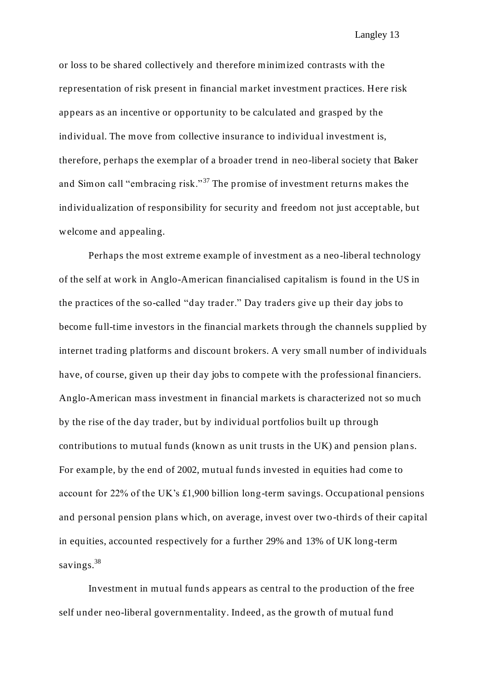or loss to be shared collectively and therefore minimized contrasts with the representation of risk present in financial market investment practices. Here risk appears as an incentive or opportunity to be calculated and grasped by the individual. The move from collective insurance to individual investment is, therefore, perhaps the exemplar of a broader trend in neo-liberal society that Baker and Simon call "embracing risk."<sup>37</sup> The promise of investment returns makes the individualization of responsibility for security and freedom not just accept able, but welcome and appealing.

Perhaps the most extreme example of investment as a neo-liberal technology of the self at work in Anglo-American financialised capitalism is found in the US in the practices of the so-called "day trader." Day traders give up their day jobs to become full-time investors in the financial markets through the channels supplied by internet trading platforms and discount brokers. A very small number of individuals have, of course, given up their day jobs to compete with the professional financiers. Anglo-American mass investment in financial markets is characterized not so much by the rise of the day trader, but by individual portfolios built up through contributions to mutual funds (known as unit trusts in the UK) and pension plan s. For example, by the end of 2002, mutual funds invested in equities had come to account for 22% of the UK's £1,900 billion long-term savings. Occupational pensions and personal pension plans which, on average, invest over two-thirds of their capital in equities, accounted respectively for a further 29% and 13% of UK long-term savings.<sup>38</sup>

Investment in mutual funds appears as central to the production of the free self under neo-liberal governmentality. Indeed, as the growth of mutual fund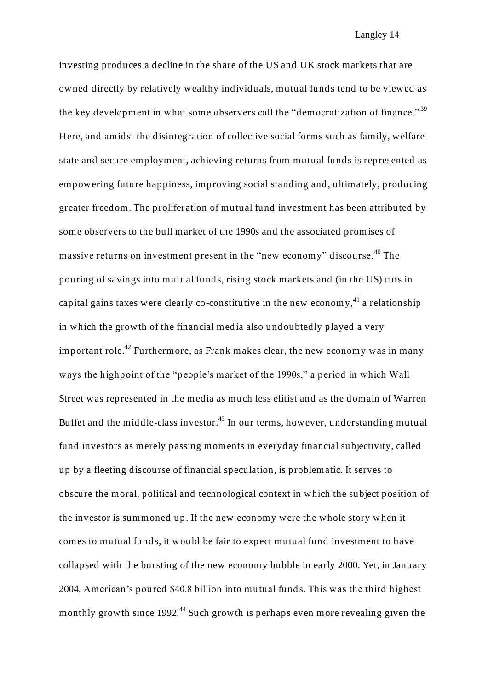investing produces a decline in the share of the US and UK stock markets that are owned directly by relatively wealthy individuals, mutual funds tend to be viewed as the key development in what some observers call the "democratization of finance."  $39$ Here, and amidst the disintegration of collective social forms such as family, welfare state and secure employment, achieving returns from mutual funds is represented as empowering future happiness, improving social standing and, ultimately, producing greater freedom. The proliferation of mutual fund investment has been attributed by some observers to the bull market of the 1990s and the associated promises of massive returns on investment present in the "new economy" discourse.<sup>40</sup> The pouring of savings into mutual funds, rising stock markets and (in the US) cuts in capital gains taxes were clearly co-constitutive in the new economy,  $4^{1}$  a relationship in which the growth of the financial media also undoubtedly played a very important role.<sup>42</sup> Furthermore, as Frank makes clear, the new economy was in many ways the highpoint of the "people's market of the 1990s," a period in which Wall Street was represented in the media as much less elitist and as the domain of Warren Buffet and the middle-class investor.<sup>43</sup> In our terms, however, understanding mutual fund investors as merely passing moments in everyday financial subjectivity, called up by a fleeting discourse of financial speculation, is problematic. It serves to obscure the moral, political and technological context in which the subject position of the investor is summoned up. If the new economy were the whole story when it comes to mutual funds, it would be fair to expect mutual fund investment to have collapsed with the bursting of the new economy bubble in early 2000. Yet, in January 2004, American's poured \$40.8 billion into mutual funds. This was the third highest monthly growth since 1992.<sup>44</sup> Such growth is perhaps even more revealing given the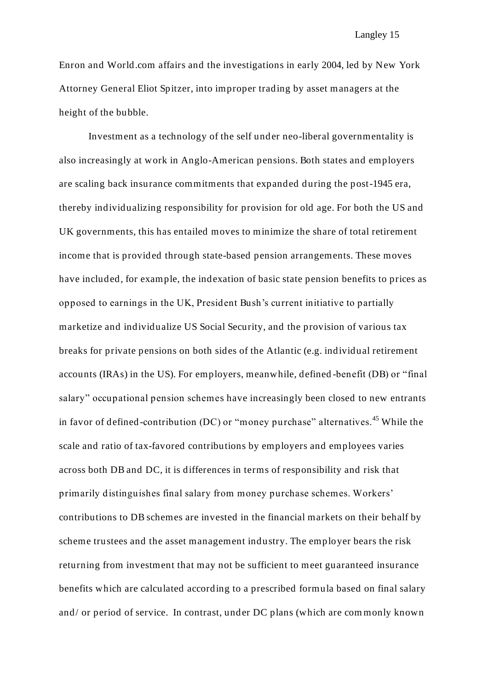Enron and World.com affairs and the investigations in early 2004, led by New York Attorney General Eliot Spitzer, into improper trading by asset managers at the height of the bubble.

Investment as a technology of the self under neo-liberal governmentality is also increasingly at work in Anglo-American pensions. Both states and employers are scaling back insurance commitments that expanded during the post-1945 era, thereby individualizing responsibility for provision for old age. For both the US and UK governments, this has entailed moves to minimize the share of total retirement income that is provid ed through state-based pension arrangements. These moves have included, for example, the indexation of basic state pension benefits to prices as opposed to earnings in the UK, President Bush's current initiative to partially marketize and individualize US Social Security, and the provision of various tax breaks for private pensions on both sides of the Atlantic (e.g. individual retirement accounts (IRAs) in the US). For employers, meanwhile, defined -benefit (DB) or "final salary" occupational pension schemes have increasingly been closed to new entrants in favor of defined-contribution (DC) or "money purchase" alternatives.<sup>45</sup> While the scale and ratio of tax-favored contributions by employers and employees varies across both DB and DC, it is differences in terms of responsibility and risk that primarily distinguishes final salary from money purchase schemes. Workers' contributions to DB schemes are invested in the financial markets on their behalf by scheme trustees and the asset management industry. The employer bears the risk returning from investment that may not be sufficient to meet guaranteed insurance benefits which are calculated according to a prescribed formula based on final salary and/ or period of service. In contrast, under DC plans (which are com monly known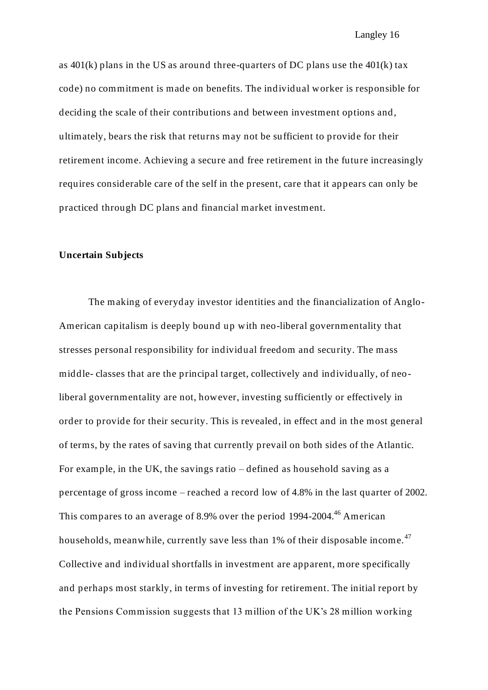as  $401(k)$  plans in the US as around three-quarters of DC plans use the  $401(k)$  tax code) no commitment is made on benefits. The individual worker is responsible for deciding the scale of their contributions and between investment options and, ultimately, bears the risk that returns may not be sufficient to provide for their retirement income. Achieving a secure and free retirement in the future increasingly requires considerable care of the self in the present, care that it appears can only be practiced through DC plans and financial market investment.

#### **Uncertain Subjects**

The making of everyday investor identities and the financialization of Anglo-American capitalism is deeply bound up with neo-liberal governmentality that stresses personal responsibility for individual freedom and security. The mass middle- classes that are the principal target, collectively and individually, of neoliberal governmentality are not, however, investing sufficiently or effectively in order to provide for their security. This is revealed, in effect and in the most general of terms, by the rates of saving that currently prevail on both sides of the Atlantic. For example, in the UK, the savings ratio – defined as household saving as a percentage of gross income – reached a record low of 4.8% in the last quarter of 2002. This compares to an average of 8.9% over the period 1994-2004.<sup>46</sup> American households, meanwhile, currently save less than 1% of their disposable income.<sup>47</sup> Collective and individual shortfalls in investment are apparent, more specifically and perhaps most starkly, in terms of investing for retirement. The initial report by the Pensions Commission suggests that 13 million of the UK's 28 million working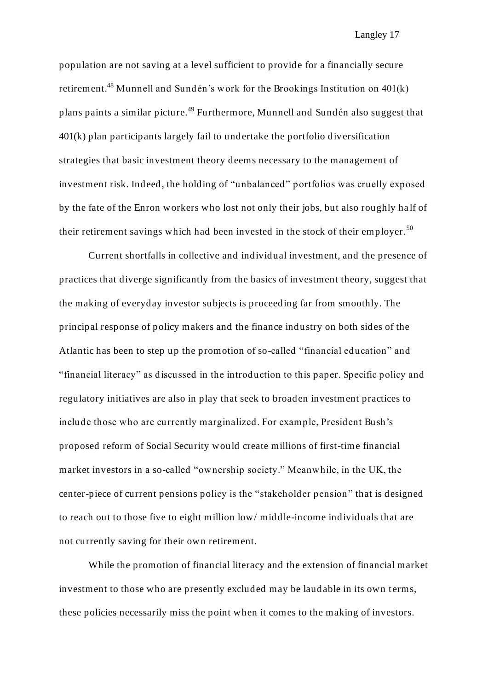population are not saving at a level sufficient to provide for a financially secure retirement.<sup>48</sup> Munnell and Sundén's work for the Brookings Institution on  $401(k)$ plans paints a similar picture.<sup>49</sup> Furthermore, Munnell and Sundén also suggest that 401(k) plan participants largely fail to undertake the portfolio div ersification strategies that basic investment theory deems necessary to the management of investment risk. Indeed, the holding of "unbalanced" portfolios was cruelly exposed by the fate of the Enron workers who lost not only their jobs, but also roughly ha lf of their retirement savings which had been invested in the stock of their employer.<sup>50</sup>

Current shortfalls in collective and individual investment, and the presence of practices that diverge significantly from the basics of investment theory, suggest that the making of everyday investor subjects is proceeding far from smoothly. The principal response of policy makers and the finance industry on both sides of the Atlantic has been to step up the promotion of so-called "financial education" and "financial literacy" as discussed in the introduction to this paper. Specific policy and regulatory initiatives are also in play that seek to broaden investment practices to include those who are currently marginalized. For example, President Bush's proposed reform of Social Security would create millions of first-time financial market investors in a so-called "ownership society." Meanwhile, in the UK, the center-piece of current pensions policy is the "stakeholder pension" that is designed to reach out to those five to eight million low/ middle-income individuals that are not currently saving for their own retirement.

While the promotion of financial literacy and the extension of financial market investment to those who are presently excluded may be laudable in its own terms, these policies necessarily miss the point when it comes to the making of investors.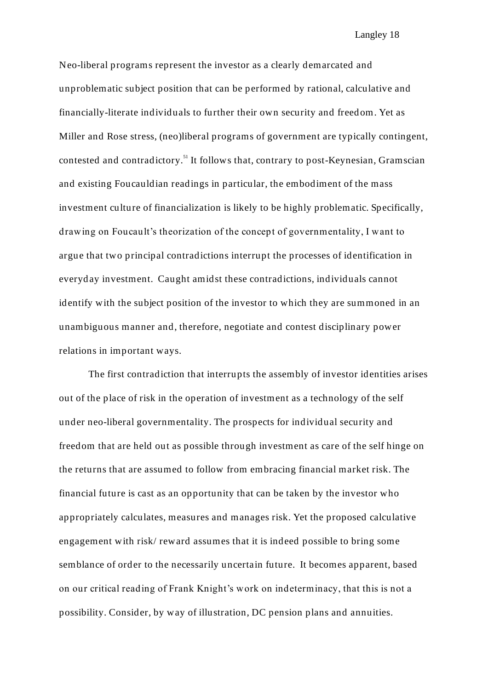Neo-liberal programs represent the investor as a clearly demarcated and unproblematic subject position that can be performed by rational, calculative and financially-literate individuals to further their own security and freedom. Yet as Miller and Rose stress, (neo)liberal programs of government are typically contingent, contested and contradictory.<sup>51</sup> It follows that, contrary to post-Keynesian, Gramscian and existing Foucauldian readings in particular, the embodiment of the mass investment culture of financialization is likely to be highly problematic. Specifically, drawing on Foucault's theorization of the concept of governmentality, I want to argue that two principal contradictions interrupt the processes of identification in everyday investment. Caught amidst these contradictions, individuals cannot identify with the subject position of the investor to which they are summoned in an unambiguous manner and, therefore, negotiate and contest disciplinary power relations in important ways.

The first contradiction that interrupts the assembly of investor identities arises out of the place of risk in the operation of investment as a technology of the self under neo-liberal governmentality. The prospects for individual security and freedom that are held out as possible through investment as care of the self hinge on the returns that are assumed to follow from embracing financial market risk. The financial future is cast as an opportunity that can be taken by the investor who appropriately calculates, measures and manages risk. Yet the proposed calculative engagement with risk/ reward assumes that it is indeed possible to bring some semblance of order to the necessarily uncertain future. It becomes apparent, based on our critical reading of Frank Knight's work on indeterminacy, that this is not a possibility. Consider, by way of illustration, DC pension plans and annuities.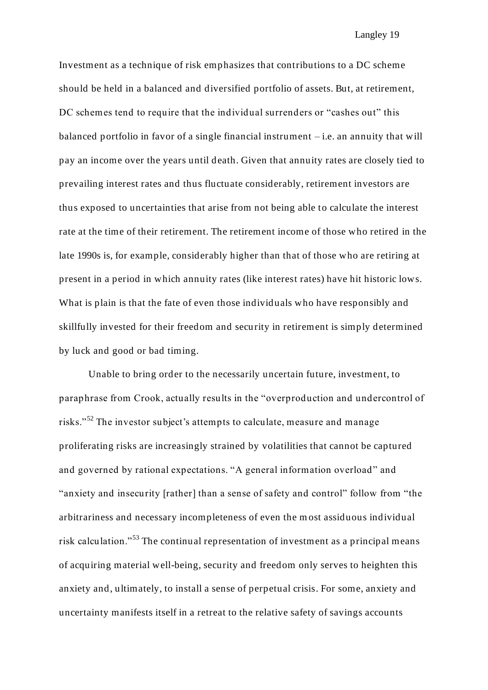Investment as a technique of risk emphasizes that contributions to a DC scheme should be held in a balanced and diversified portfolio of assets. But, at retirement, DC schemes tend to require that the individual surrenders or "cashes out" this balanced portfolio in favor of a single financial instrument  $-i.e.$  an annuity that will pay an income over the years until death. Given that annuity rates are closely tied to prevailing interest rates and thus fluctuate considerably, retirement investors are thus exposed to uncertainties that arise from not being able to calculate the interest rate at the time of their retirement. The retirement income of those who retired in the late 1990s is, for example, considerably higher than that of those who are retiring at present in a period in which annuity rates (like interest rates) have hit historic lows. What is plain is that the fate of even those individuals who have responsibly and skillfully invested for their freedom and security in retirement is simply determined by luck and good or bad timing.

Unable to bring order to the necessarily uncertain future, investment, to paraphrase from Crook, actually results in the "overproduction and undercontrol of risks."<sup>52</sup> The investor subject's attempts to calculate, measure and manage proliferating risks are increasingly strained by volatilities that cannot be captured and governed by rational expectations. "A general information overload" and "anxiety and insecurity [rather] than a sense of safety and control" follow from "the arbitrariness and necessary incompleteness of even the most assiduous individual risk calculation."<sup>53</sup> The continual representation of investment as a principal means of acquiring material well-being, security and freedom only serves to heighten this anxiety and, ultimately, to install a sense of perpetual crisis. For some, anxiety and uncertainty manifests itself in a retreat to the relative safety of savings accounts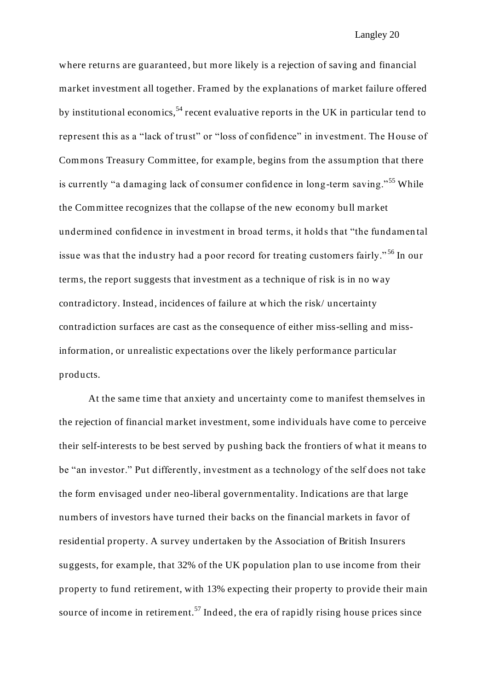where returns are guaranteed, but more likely is a rejection of saving and financial market investment all together. Framed by the explanations of market failure offered by institutional economics,  $54$  recent evaluative reports in the UK in particular tend to represent this as a "lack of trust" or "loss of confidence" in investment. The House of Commons Treasury Committee, for example, begins from the assumption that there is currently "a damaging lack of consumer confidence in long-term saving."<sup>55</sup> While the Committee recognizes that the collapse of the new economy bull market undermined confidence in investment in broad terms, it holds that "the fundamen tal issue was that the industry had a poor record for treating customers fairly." <sup>56</sup> In our terms, the report suggests that investment as a technique of risk is in no way contradictory. Instead, incidences of failure at which the risk/ uncertainty contradiction surfaces are cast as the consequence of either miss-selling and missinformation, or unrealistic expectations over the likely performance particular products.

At the same time that anxiety and uncertainty come to manifest themselves in the rejection of financial market investment, some individuals have come to perceive their self-interests to be best served by pushing back the frontiers of what it means to be "an investor." Put differently, investment as a technology of the self does not take the form envisaged under neo-liberal governmentality. Indications are that large numbers of investors have turned their backs on the financial markets in favor of residential property. A survey undertaken by the Association of British Insurers suggests, for example, that 32% of the UK population plan to use income from their property to fund retirement, with 13% expecting their property to provide their main source of income in retirement.<sup>57</sup> Indeed, the era of rapidly rising house prices since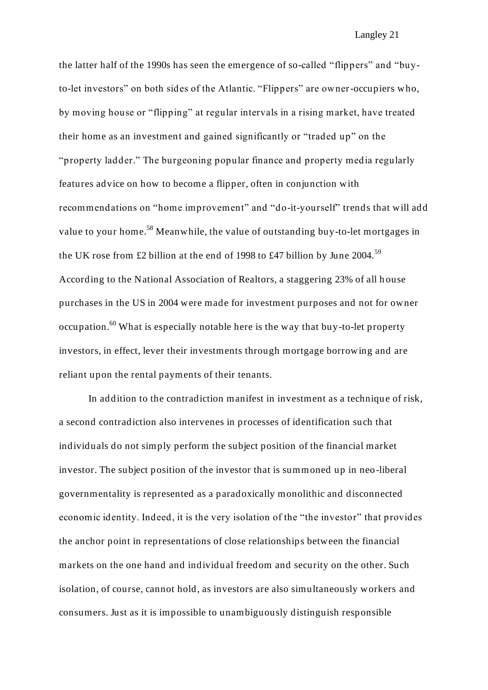the latter half of the 1990s has seen the emergence of so-called "flippers" and "buyto-let investors" on both sides of the Atlantic. "Flippers" are owner-occupiers who, by moving house or "flipping" at regular intervals in a rising market, have treated their home as an investment and gained significantly or "traded up" on the "property ladder." The burgeoning popular finance and property media regularly features advice on how to become a flipper, often in conjunction with recommendations on "home improvement" and "do-it-yourself" trends that will add value to your home.<sup>58</sup> Meanwhile, the value of outstanding buy-to-let mortgages in the UK rose from £2 billion at the end of 1998 to £47 billion by June 2004.<sup>59</sup> According to the National Association of Realtors, a staggering 23% of all h ouse purchases in the US in 2004 were made for investment purposes and not for owner occupation.<sup>60</sup> What is especially notable here is the way that buy-to-let property investors, in effect, lever their investments through mortgage borrowing and are reliant upon the rental payments of their tenants.

In addition to the contradiction manifest in investment as a technique of risk, a second contradiction also intervenes in processes of identification such that individuals do not simply perform the subject position of the financial market investor. The subject position of the investor that is summoned up in neo-liberal governmentality is represented as a paradoxically monolithic and disconnected economic identity. Indeed, it is the very isolation of the "the investor" that provides the anchor point in representations of close relationships between the financial markets on the one hand and individual freedom and security on the other. Such isolation, of course, cannot hold, as investors are also simultaneously workers and consumers. Just as it is impossible to unambiguously distinguish responsible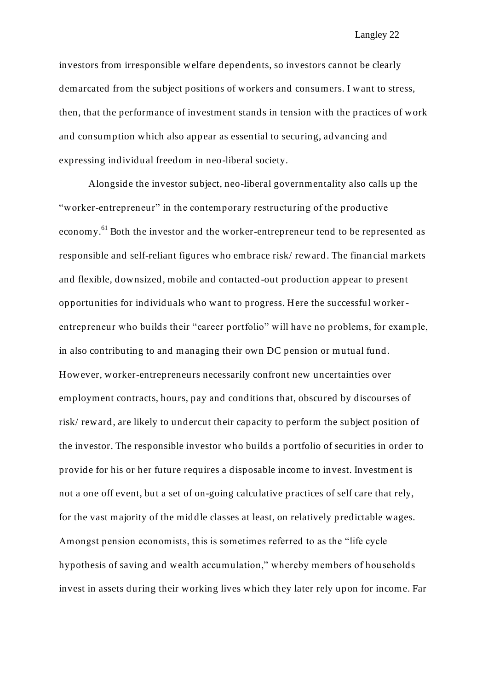investors from irresponsible welfare dependents, so investors cannot be clearly demarcated from the subject positions of workers and consumers. I want to stress, then, that the performance of investment stands in tension with the practices of work and consumption which also appear as essential to securing, advancing and expressing individual freedom in neo-liberal society.

Alongside the investor subject, neo-liberal governmentality also calls up the "worker-entrepreneur" in the contemporary restructuring of the productive economy.<sup>61</sup> Both the investor and the worker-entrepreneur tend to be represented as responsible and self-reliant figures who embrace risk/ reward. The financial markets and flexible, downsized, mobile and contacted -out production appear to present opportunities for individuals who want to progress. Here the successful workerentrepreneur who builds their "career portfolio" will have no problems, for example, in also contributing to and managing their own DC pension or mutual fund. However, worker-entrepreneurs necessarily confront new uncertainties over employment contracts, hours, pay and conditions that, obscured by discourses of risk/ reward, are likely to undercut their capacity to perform the subject position of the investor. The responsible investor who builds a portfolio of securities in order to provide for his or her future requires a disposable income to invest. Investment is not a one off event, but a set of on-going calculative practices of self care that rely, for the vast majority of the middle classes at least, on relatively predictable wages. Amongst pension economists, this is sometimes referred to as the "life cycle hypothesis of saving and wealth accumulation," whereby members of households invest in assets during their working lives which they later rely upon for income. Far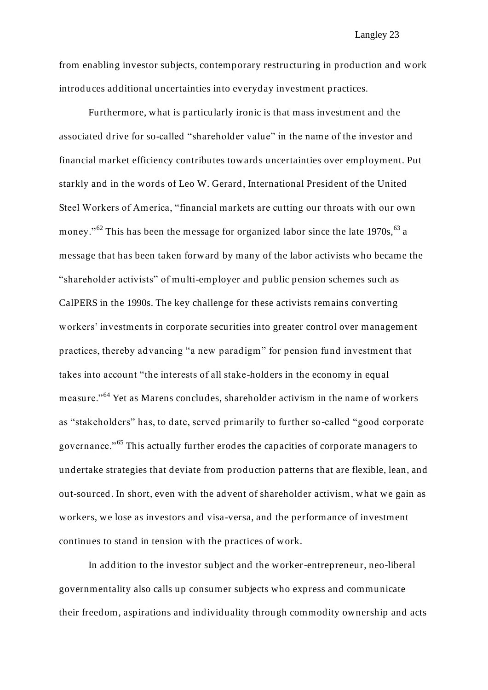from enabling investor subjects, contemporary restructuring in production and work introduces additional uncertainties into everyday investment practices.

Furthermore, what is particularly ironic is that mass investment and the associated drive for so-called "shareholder value" in the name of the investor and financial market efficiency contributes towards uncertainties over employment. Put starkly and in the words of Leo W. Gerard, International President of the United Steel Workers of America, "financial markets are cutting our throats with our own money." $62$  This has been the message for organized labor since the late 1970s,  $63$  a message that has been taken forward by many of the labor activists who became the "shareholder activists" of multi-employer and public pension schemes such as CalPERS in the 1990s. The key challenge for these activists remains converting workers' investments in corporate securities into greater control over management practices, thereby advancing "a new paradigm" for pension fund investment that takes into account "the interests of all stake-holders in the economy in equal measure."<sup>64</sup> Yet as Marens concludes, shareholder activism in the name of workers as "stakeholders" has, to date, served primarily to further so-called "good corporate governance."<sup>65</sup> This actually further erodes the capacities of corporate managers to undertake strategies that deviate from production patterns that are flexible, lean, and out-sourced. In short, even with the advent of shareholder activism, what we gain as workers, we lose as investors and visa-versa, and the performance of investment continues to stand in tension with the practices of work.

In addition to the investor subject and the worker-entrepreneur, neo-liberal governmentality also calls up consumer subjects who express and communicate their freedom, aspirations and individuality through commodity ownership and acts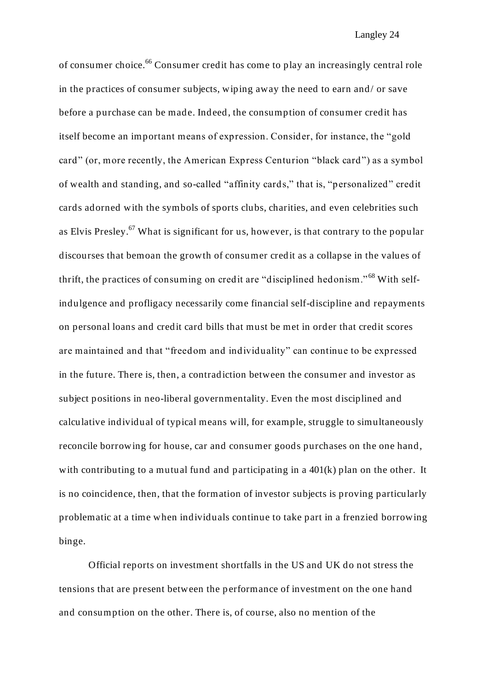of consumer choice.<sup>66</sup> Consumer credit has come to play an increasingly central role in the practices of consumer subjects, wiping away the need to earn and/ or save before a purchase can be made. Indeed, the consumption of consumer credit has itself become an important means of expression. Consider, for instance, the "gold card" (or, more recently, the American Express Centurion "black card") as a symbol of wealth and standing, and so-called "affinity cards," that is, "personalized" credit cards adorned with the symbols of sports clubs, charities, and even celebrities such as Elvis Presley.<sup>67</sup> What is significant for us, however, is that contrary to the popular discourses that bemoan the growth of consumer credit as a collapse in the values of thrift, the practices of consuming on credit are "disciplined hedonism." <sup>68</sup> With selfindulgence and profligacy necessarily come financial self-discipline and repayments on personal loans and credit card bills that must be met in order that credit scores are maintained and that "freedom and individuality" can continue to be expressed in the future. There is, then, a contradiction between the consumer and investor as subject positions in neo-liberal governmentality. Even the most disciplined and calculative individual of typical means will, for example, struggle to simultaneously reconcile borrowing for house, car and consumer goods purchases on the one hand, with contributing to a mutual fund and participating in a 401(k) plan on the other. It is no coincidence, then, that the formation of investor subjects is proving particularly problematic at a time when individuals continue to take part in a frenzied borrowing binge.

Official reports on investment shortfalls in the US and UK do not stress the tensions that are present between the p erformance of investment on the one hand and consumption on the other. There is, of course, also no mention of the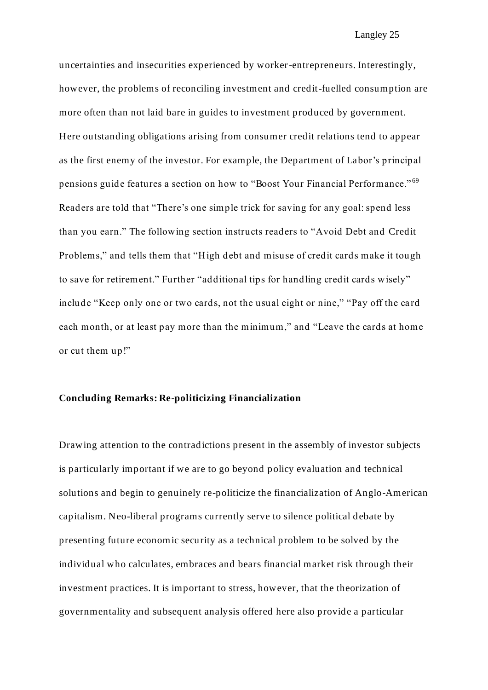uncertainties and insecurities experienced by worker-entrepreneurs. Interestingly, however, the problems of reconciling investment and credit-fuelled consumption are more often than not laid bare in guides to investment produced by government. Here outstanding obligations arising from consumer credit relations tend to appear as the first enemy of the investor. For example, the Department of Labor's principal pensions guide features a section on how to "Boost Your Financial Performance." <sup>69</sup> Readers are told that "There's one simple trick for saving for any goal: spend less than you earn." The following section instructs readers to "Avoid Debt and Credit Problems," and tells them that "High debt and misuse of credit cards make it tough to save for retirement." Further "additional tips for handling credit cards wisely" include "Keep only one or two cards, not the usual eight or nine," "Pay off the card each month, or at least pay more than the minimum," and "Leave the cards at home or cut them up!"

#### **Concluding Remarks: Re-politicizing Financialization**

Drawing attention to the contradictions present in the assembly of investor subjects is particularly important if we are to go beyond policy evaluation and technical solutions and begin to genuinely re-politicize the financialization of Anglo-American capitalism. Neo-liberal programs currently serve to silence political debate by presenting future economic security as a technical problem to be solved by the individual who calculates, embraces and bears financial market risk through their investment practices. It is important to stress, however, that the theorization of governmentality and subsequent analysis offered here also provide a particular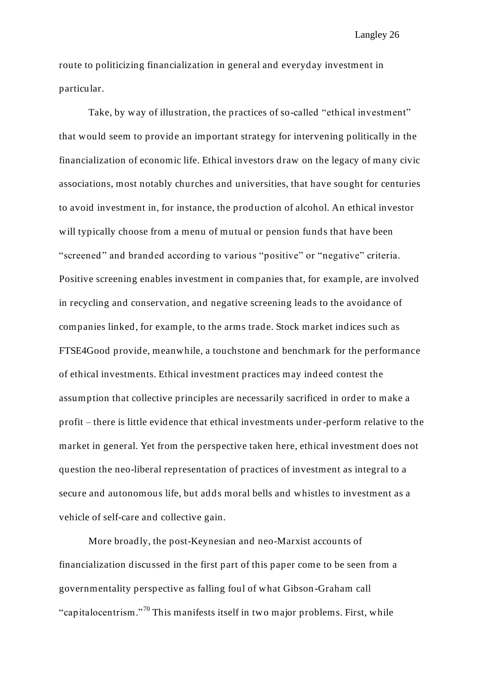route to politicizing financialization in general and everyday investment in particular.

Take, by way of illustration, the practices of so-called "ethical investment" that would seem to provide an important strategy for intervening politically in the financialization of economic life. Ethical investors draw on the legacy of many civic associations, most notably churches and universities, that have sought for centuries to avoid investment in, for instance, the prod uction of alcohol. An ethical investor will typically choose from a menu of mutual or pension funds that have been "screened" and branded according to various "positive" or "negative" criteria. Positive screening enables investment in companies that, for example, are involved in recycling and conservation, and negative screening leads to the avoidance of companies linked, for example, to the arms trade. Stock market indices such as FTSE4Good provide, meanwhile, a touchstone and benchmark for the performance of ethical investments. Ethical investment practices may indeed contest the assumption that collective principles are necessarily sacrificed in order to make a profit – there is little evidence that ethical investments under-perform relative to the market in general. Yet from the perspective taken here, ethical investment does not question the neo-liberal representation of practices of investment as integral to a secure and autonomous life, but adds moral bells and whistles to investment as a vehicle of self-care and collective gain.

More broadly, the post-Keynesian and neo-Marxist accounts of financialization discussed in the first part of this paper come to be seen from a governmentality perspective as falling foul of what Gibson -Graham call "capitalocentrism."<sup>70</sup> This manifests itself in two major problems. First, while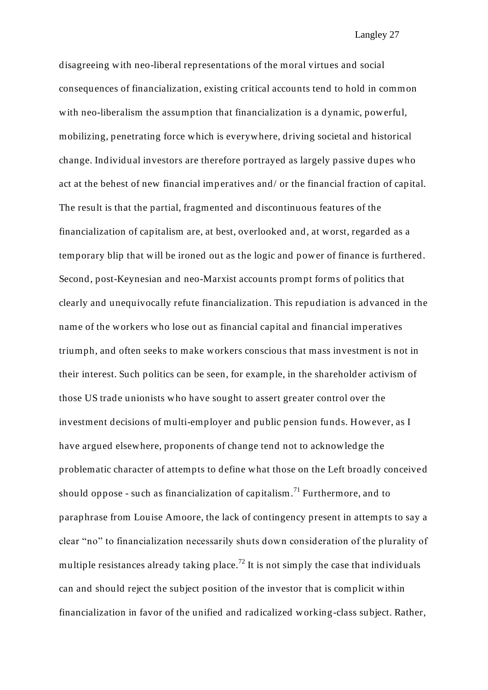disagreeing with neo-liberal representations of the moral virtues and social consequences of financialization, existing critical accounts tend to hold in common with neo-liberalism the assumption that financialization is a dynamic, powerful, mobilizing, penetrating force which is everywhere, driving societal and historical change. Individual investors are therefore portrayed as largely passive dupes who act at the behest of new financial imperatives and/ or the financial fraction of capital. The result is that the partial, fragmented and discontinuous features of the financialization of capitalism are, at best, overlooked and, at worst, regarded as a temporary blip that will be ironed out as the logic and power of finance is furthered. Second, post-Keynesian and neo-Marxist accounts prompt forms of politics that clearly and unequivocally refute financialization. This repudiation is advanced in the name of the workers who lose out as financial capital and financial imperatives triumph, and often seeks to make workers conscious that mass investment is not in their interest. Such politics can be seen, for example, in the shareholder activism of those US trade unionists who have sought to assert greater control over the investment decisions of multi-employer and public pension funds. However, as I have argued elsewhere, proponents of change tend not to acknowledge the problematic character of attempts to define what those on the Left broadly conceived should oppose - such as financialization of capitalism.<sup>71</sup> Furthermore, and to paraphrase from Louise Amoore, the lack of contingency present in attempts to say a clear "no" to financialization necessarily shuts down consideration of the plurality of multiple resistances already taking place.<sup>72</sup> It is not simply the case that individuals can and should reject the subject position of the investor that is complicit within financialization in favor of the unified and radicalized working-class subject. Rather,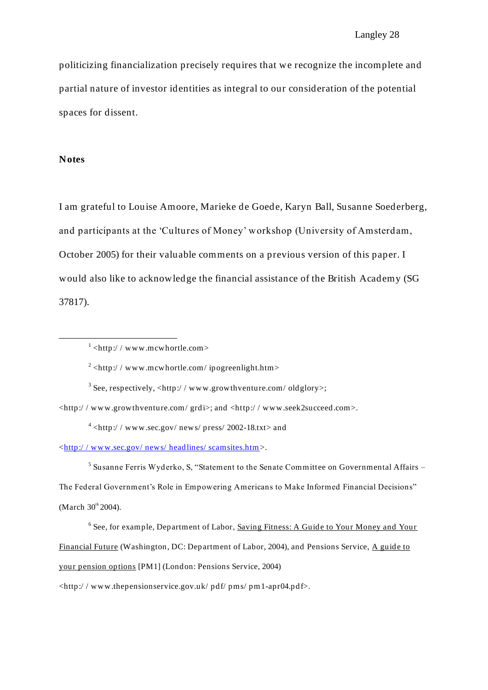politicizing financialization precisely requires that we recognize the incomplete and partial nature of investor identities as integral to our consideration of the potential spaces for dissent.

#### **Notes**

1

I am grateful to Louise Amoore, Marieke de Goede, Karyn Ball, Susanne Soederberg, and participants at the 'Cultures of Money' workshop (University of Amsterdam, October 2005) for their valuable comments on a previous version of this paper. I would also like to acknowledge the financial assistance of the British Academy (SG 37817).

<sup>3</sup> See, respectively, <http://www.growthventure.com/oldglory>;

<http:/ / www.growthventure.com/ grdi>; and <http:/ / www.seek2succeed.com>.

 $4$  <http://www.sec.gov/news/press/2002-18.txt> and

[<http:/ / www.sec.gov/ news/ head lines/ scamsites.htm>](http://www.sec.gov/news/headlines/scamsites.htm).

<sup>5</sup> Susanne Ferris Wyderko, S, "Statement to the Senate Committee on Governmental Affairs -The Federal Government's Role in Empowering Americans to Make Informed Financial Decisions" (March  $30^{th}$  2004).

<sup>6</sup> See, for example, Department of Labor, Saving Fitness: A Guide to Your Money and Your Financial Future (Washington, DC: Department of Labor, 2004), and Pensions Service, A guide to your pension options [PM1] (London: Pensions Service, 2004)

<http:/ / www.thepensionservice.gov.uk/ pdf/ pms/ pm1-apr04.pdf>.

 $1$  <http://www.mcwhortle.com>

 $2$  <http://www.mcwhortle.com/ipogreenlight.htm>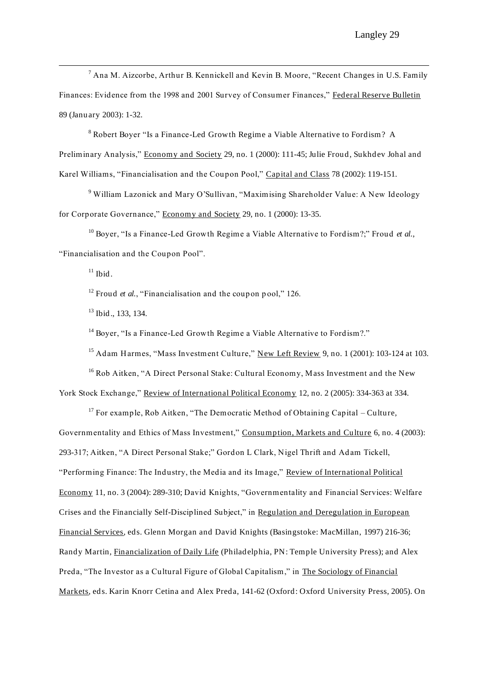$<sup>7</sup>$  Ana M. Aizcorbe, Arthur B. Kennickell and Kevin B. Moore, "Recent Changes in U.S. Family</sup> Finances: Evidence from the 1998 and 2001 Survey of Consumer Finances," Federal Reserve Bulletin 89 (January 2003): 1-32.

<sup>8</sup> Robert Boyer "Is a Finance-Led Growth Regime a Viable Alternative to Fordism? A Preliminary Analysis," Economy and Society 29, no. 1 (2000): 111-45; Julie Froud, Sukhdev Johal and Karel Williams, "Financialisation and the Coupon Pool," Capital and Class 78 (2002): 119-151.

<sup>9</sup> William Lazonick and Mary O'Sullivan, "Maximising Shareholder Value: A New Ideology for Corporate Governance," Economy and Society 29, no. 1 (2000): 13-35.

<sup>10</sup> Boyer, "Is a Finance-Led Growth Regime a Viable Alternative to Fordism?;" Froud *et al.*, "Financialisation and the Coupon Pool".

 $11$  Ibid.

<u>.</u>

<sup>12</sup> Froud *et al.*, "Financialisation and the coupon pool." 126.

<sup>13</sup> Ibid., 133, 134.

<sup>14</sup> Boyer, "Is a Finance-Led Growth Regime a Viable Alternative to Fordism?."

<sup>15</sup> Adam Harmes, "Mass Investment Culture," New Left Review 9, no. 1 (2001): 103-124 at 103.

<sup>16</sup> Rob Aitken, "A Direct Personal Stake: Cultural Economy, Mass Investment and the New York Stock Exchange," Review of International Political Economy 12, no. 2 (2005): 334-363 at 334.

<sup>17</sup> For example, Rob Aitken, "The Democratic Method of Obtaining Capital – Culture, Governmentality and Ethics of Mass Investment," Consumption, Markets and Culture 6, no. 4 (2003): 293-317; Aitken, "A Direct Personal Stake;" Gordon L Clark, Nigel Thrift and Adam Tickell, "Performing Finance: The Industry, the Media and its Image," Review of International Political Economy 11, no. 3 (2004): 289-310; David Knights, "Governmentality and Financial Services: Welfare Crises and the Financially Self-Disciplined Subject," in Regulation and Deregulation in European Financial Services*,* eds. Glenn Morgan and David Knights (Basingstoke: MacMillan, 1997) 216-36; Randy Martin, Financialization of Daily Life (Philadelphia, PN: Temple University Press); and Alex Preda, "The Investor as a Cultural Figure of Global Capitalism," in The Sociology of Financial Markets*,* eds. Karin Knorr Cetina and Alex Preda, 141-62 (Oxford: Oxford University Press, 2005). On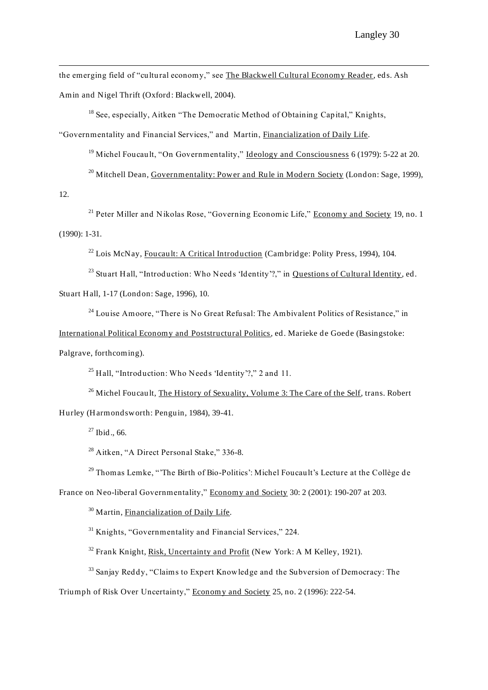the emerging field of "cultural economy," see The Blackwell Cultural Economy Reader, eds. Ash Amin and Nigel Thrift (Oxford: Blackwell, 2004).

 $18$  See, especially, Aitken "The Democratic Method of Obtaining Capital," Knights, "Governmentality and Financial Services," and Martin, Financialization of Daily Life*.*

<sup>19</sup> Michel Foucault, "On Governmentality," Ideology and Consciousness 6 (1979): 5-22 at 20.

<sup>20</sup> Mitchell Dean, Governmentality: Power and Rule in Modern Society (London: Sage, 1999),

12.

<u>.</u>

 $21$  Peter Miller and Nikolas Rose, "Governing Economic Life," Economy and Society 19, no. 1 (1990): 1-31.

 $22$  Lois McNay, Foucault: A Critical Introduction (Cambridge: Polity Press, 1994), 104.

<sup>23</sup> Stuart Hall, "Introduction: Who Needs 'Identity'?," in Questions of Cultural Identity, ed.

Stuart Hall, 1-17 (Lond on: Sage, 1996), 10.

 $24$  Louise Amoore, "There is No Great Refusal: The Ambivalent Politics of Resistance," in

International Political Economy and Poststructural Politics*,* ed. Marieke de Goede (Basingstoke:

Palgrave, forthcoming).

<sup>25</sup> Hall, "Introduction: Who Needs 'Identity'?," 2 and 11.

<sup>26</sup> Michel Foucault, The History of Sexuality, Volume 3: The Care of the Self, trans. Robert Hurley (Harmondsworth: Penguin, 1984), 39-41.

 $27$  Ibid., 66.

<sup>28</sup> Aitken, "A Direct Personal Stake," 336-8.

<sup>29</sup> Thomas Lemke, "'The Birth of Bio-Politics': Michel Foucault's Lecture at the Collège de

France on Neo-liberal Governmentality," Economy and Society 30: 2 (2001): 190-207 at 203.

<sup>30</sup> Martin, Financialization of Daily Life*.*

<sup>31</sup> Knights, "Governmentality and Financial Services," 224.

 $32$  Frank Knight, Risk, Uncertainty and Profit (New York: A M Kelley, 1921).

<sup>33</sup> Sanjay Reddy, "Claims to Expert Knowledge and the Subversion of Democracy: The

Triumph of Risk Over Uncertainty," Economy and Society 25, no. 2 (1996): 222-54.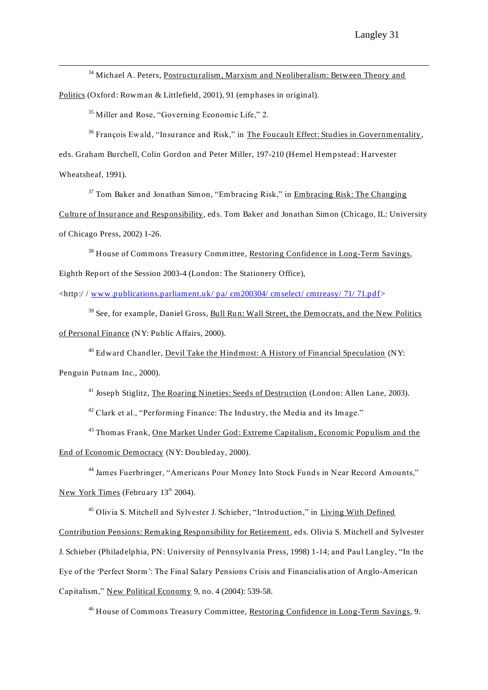<sup>34</sup> Michael A. Peters, Postructuralism, Marxism and Neoliberalism: Between Theory and

Politics (Oxford: Rowman & Littlefield, 2001), 91 (emphases in original).

<sup>35</sup> Miller and Rose, "Governing Economic Life," 2.

 $36$  François Ewald, "Insurance and Risk," in The Foucault Effect: Studies in Governmentality, eds. Graham Burchell, Colin Gord on and Peter Miller, 197-210 (Hemel Hempstead : Harvester Wheatsheaf, 1991).

 $37$  Tom Baker and Jonathan Simon, "Embracing Risk," in Embracing Risk: The Changing Culture of Insurance and Responsibility*,* eds. Tom Baker and Jonathan Simon (Chicago, IL: University of Chicago Press, 2002) 1-26.

<sup>38</sup> House of Commons Treasury Committee, Restoring Confidence in Long-Term Savings, Eighth Report of the Session 2003-4 (London: The Stationery Office),

<http:/ / [www.publications.parliament.uk/ pa/ cm200304/ cmselect/ cmtreasy/ 71/ 71.pdf>](http://www.publications.parliament.uk/pa/cm200304/cmselect/cmtreasy/71/71.pdf)

<sup>39</sup> See, for example, Daniel Gross, Bull Run: Wall Street, the Democrats, and the New Politics of Personal Finance (NY: Public Affairs, 2000).

 $40$  Edward Chandler, Devil Take the Hind most: A History of Financial Speculation (NY:

Penguin Putnam Inc., 2000).

<u>.</u>

<sup>41</sup> Joseph Stiglitz, The Roaring Nineties: Seeds of Destruction (London: Allen Lane, 2003).

 $42$  Clark et al., "Performing Finance: The Industry, the Media and its Image."

<sup>43</sup> Thomas Frank, One Market Under God: Extreme Capitalism, Economic Populism and the End of Economic Democracy (NY: Doubled ay, 2000).

<sup>44</sup> James Fuerbringer, "Americans Pour Money Into Stock Funds in Near Record Amounts." New York Times (February  $13<sup>th</sup> 2004$ ).

<sup>45</sup> Olivia S. Mitchell and Sylvester J. Schieber, "Introduction," in Living With Defined Contribution Pensions: Remaking Responsibility for Retirement*,* eds. Olivia S. Mitchell and Sylvester J. Schieber (Philadelphia, PN: University of Pennsylvania Press, 1998) 1-14; and Paul Langley, "In the Eye of the 'Perfect Storm': The Final Salary Pensions Crisis and Financialis ation of Anglo-American Capitalism," New Political Economy 9, no. 4 (2004): 539-58.

<sup>46</sup> House of Commons Treasury Committee, Restoring Confidence in Long-Term Savings, 9.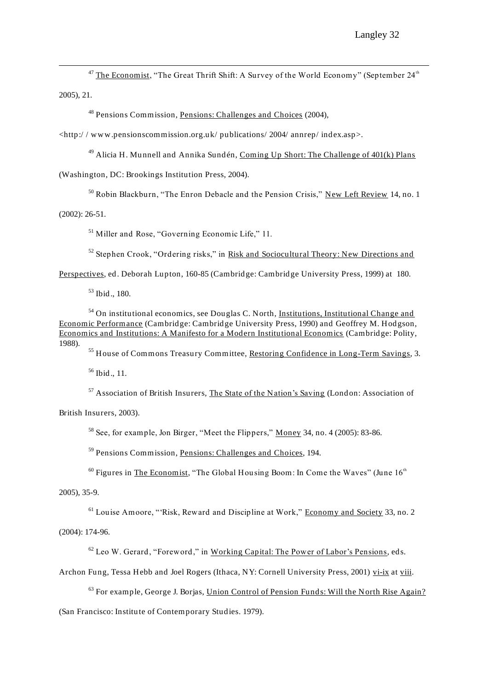$47$  The Economist, "The Great Thrift Shift: A Survey of the World Economy" (September  $24<sup>th</sup>$ 2005), 21.

<sup>48</sup> Pensions Commission, Pensions: Challenges and Choices (2004),

<http:/ / www.pensionscommission.org.uk/ publications/ 2004/ annrep/ index.asp>.

 $49$  Alicia H. Munnell and Annika Sundén, Coming Up Short: The Challenge of  $401(k)$  Plans

(Washington, DC: Brookings Institution Press, 2004).

<sup>50</sup> Robin Blackburn, "The Enron Debacle and the Pension Crisis," New Left Review 14, no. 1

(2002): 26-51.

<u>.</u>

<sup>51</sup> Miller and Rose, "Governing Economic Life," 11.

 $52$  Stephen Crook, "Ordering risks," in Risk and Sociocultural Theory: New Directions and

Perspectives, ed. Deborah Lupton, 160-85 (Cambrid ge: Cambrid ge University Press, 1999) at 180.

 $53$  Ibid., 180.

 $54$  On institutional economics, see Douglas C. North, Institutions, Institutional Change and Economic Performance (Cambridge: Cambrid ge University Press, 1990) and Geoffrey M. Hodgson, Economics and Institutions: A Manifesto for a Modern Institutional Economics (Cambridge: Polity, 1988).

<sup>55</sup> House of Commons Treasury Committee, Restoring Confidence in Long-Term Savings, 3.

 $56$  Ibid., 11.

<sup>57</sup> Association of British Insurers, The State of the Nation's Saving (London: Association of

British Insurers, 2003).

<sup>58</sup> See, for example, Jon Birger, "Meet the Flippers," Money 34, no. 4 (2005): 83-86.

<sup>59</sup> Pensions Commission, Pensions: Challenges and Choices, 194.

 $60$  Figures in The Economist, "The Global Housing Boom: In Come the Waves" (June  $16<sup>th</sup>$ 

2005), 35-9.

 $<sup>61</sup>$  Louise Amoore, "'Risk, Reward and Discipline at Work," Economy and Society 33, no. 2</sup>

(2004): 174-96.

<sup>62</sup> Leo W. Gerard, "Foreword ," in Working Capital: The Power of Labor's Pensions*,* eds.

Archon Fung, Tessa Hebb and Joel Rogers (Ithaca, NY: Cornell University Press, 2001) vi-ix at viii.

 $63$  For example, George J. Borjas, Union Control of Pension Funds: Will the North Rise Again?

(San Francisco: Institute of Contemporary Studies. 1979).